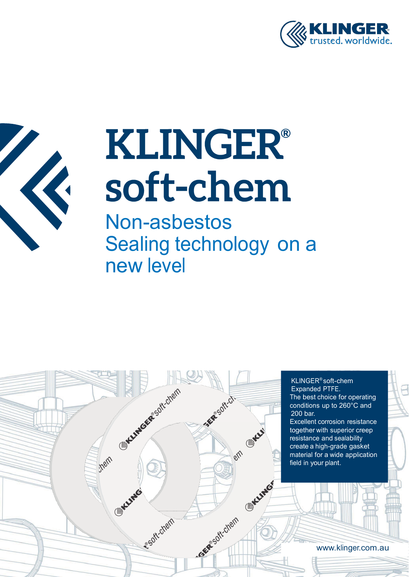



Non-asbestos Sealing technology on a new level

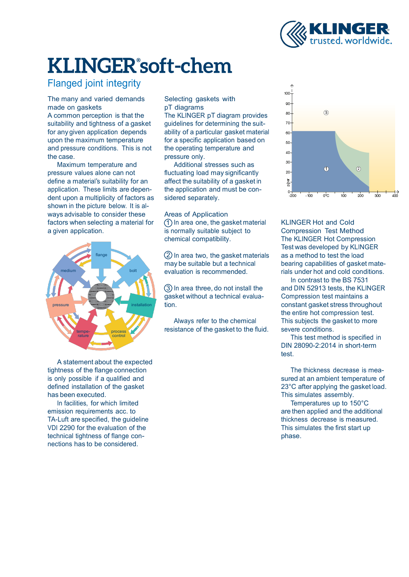

### Flanged joint integrity

The many and varied demands made on gaskets

A common perception is that the suitability and tightness of a gasket for any given application depends upon the maximum temperature and pressure conditions. This is not the case.

Maximum temperature and pressure values alone can not define a material's suitability for an application. These limits are dependent upon a multiplicity of factors as shown in the picture below. It is always advisable to consider these Areas of Application factors when selecting a material for a given application.



A statement about the expected tightness of the flange connection is only possible if a qualified and defined installation of the gasket has been executed.

In facilities, for which limited emission requirements acc. to TA-Luft are specified, the guideline VDI 2290 for the evaluation of the technical tightness of flange connections has to be considered.

Selecting gaskets with pT diagrams

The KLINGER pT diagram provides guidelines for determining the suitability of a particular gasket material for a specific application based on the operating temperature and pressure only.

Additional stresses such as fluctuating load may significantly affect the suitability of a gasket in the application and must be considered separately.

 $(1)$  In area one, the gasket material is normally suitable subject to chemical compatibility.

2 In area two, the gasket materials may be suitable but a technical evaluation is recommended.

gasket without a technical evaluation.

Always refer to the chemical resistance of the gasket to the fluid.



KLINGER Hot and Cold Compression Test Method The KLINGER Hot Compression Test was developed by KLINGER as a method to test the load bearing capabilities of gasket materials under hot and cold conditions.

In contrast to the BS 7531 3 In area three, do not install the and DIN 52913 tests, the KLINGER Compression test maintains a constant gasket stress throughout the entire hot compression test. This subjects the gasket to more severe conditions.

> This test method is specified in DIN 28090-2:2014 in short-term test.

The thickness decrease is measured at an ambient temperature of 23°C after applying the gasket load. This simulates assembly.

Temperatures up to 150°C are then applied and the additional thickness decrease is measured. This simulates the first start up phase.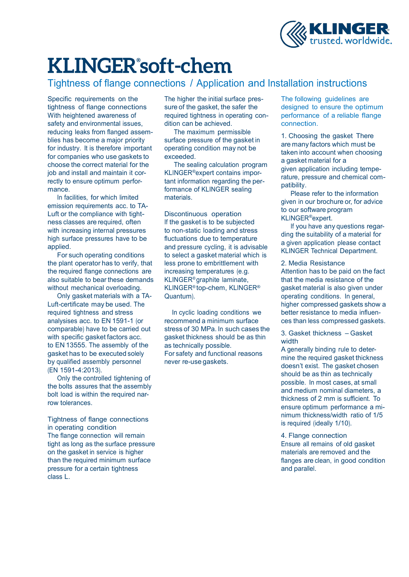

Tightness of flange connections / Application and Installation instructions

Specific requirements on the tightness of flange connections With heightened awareness of safety and environmental issues, reducing leaks from flanged assemblies has become a major priority for industry. It is therefore important for companies who use gaskets to choose the correct material for the job and install and maintain it correctly to ensure optimum performance.

In facilities, for which limited emission requirements acc. to TA-Luft or the compliance with tightness classes are required, often with increasing internal pressures high surface pressures have to be applied.

For such operating conditions the plant operator has to verify, that the required flange connections are also suitable to bear these demands without mechanical overloading.

Only gasket materials with a TA-Luft-certificate may be used. The required tightness and stress analysises acc. to EN 1591-1 (or comparable) have to be carried out with specific gasket factors acc. to EN 13555. The assembly of the gasket has to be executed solely by qualified assembly personnel (EN 1591-4:2013).

Only the controlled tightening of the bolts assures that the assembly bolt load is within the required narrow tolerances.

Tightness of flange connections in operating condition The flange connection will remain tight as long as the surface pressure on the gasket in service is higher than the required minimum surface pressure for a certain tightness class L.

The higher the initial surface pressure of the gasket, the safer the required tightness in operating condition can be achieved.

The maximum permissible surface pressure of the gasket in operating condition may not be exceeded.

The sealing calculation program KLINGER®expert contains important information regarding the performance of KLINGER sealing materials.

Discontinuous operation If the gasket is to be subjected to non-static loading and stress fluctuations due to temperature and pressure cycling, it is advisable to select a gasket material which is less prone to embrittlement with increasing temperatures (e.g. KLINGER® graphite laminate, KLINGER® top-chem, KLINGER® Quantum).

In cyclic loading conditions we recommend a minimum surface stress of 30 MPa. In such cases the gasket thickness should be as thin as technically possible. For safety and functional reasons never re-use gaskets.

The following guidelines are designed to ensure the optimum performance of a reliable flange connection.

1. Choosing the gasket There are many factors which must be taken into account when choosing a gasket material for a given application including temperature, pressure and chemical compatibility.

Please refer to the information given in our brochure or, for advice to our software program KLINGER®expert.

If you have any questions regarding the suitability of a material for a given application please contact KLINGER Technical Department.

#### 2. Media Resistance

Attention has to be paid on the fact that the media resistance of the gasket material is also given under operating conditions. In general, higher compressed gaskets show a better resistance to media influences than less compressed gaskets.

3. Gasket thickness – Gasket width

A generally binding rule to determine the required gasket thickness doesn't exist. The gasket chosen should be as thin as technically possible. In most cases, at small and medium nominal diameters, a thickness of 2 mm is sufficient. To ensure optimum performance a minimum thickness/width ratio of 1/5 is required (ideally 1/10).

4. Flange connection Ensure all remains of old gasket materials are removed and the flanges are clean, in good condition and parallel.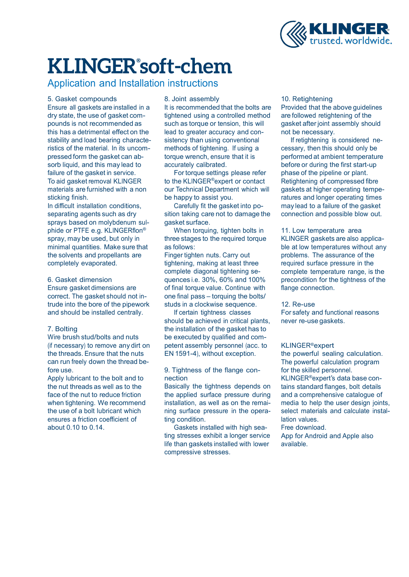

Application and Installation instructions

5. Gasket compounds Ensure all gaskets are installed in a dry state, the use of gasket compounds is not recommended as this has a detrimental effect on the stability and load bearing characteristics of the material. In its uncompressed form the gasket can absorb liquid, and this may lead to failure of the gasket in service. To aid gasket removal KLINGER materials are furnished with a non sticking finish.

In difficult installation conditions, separating agents such as dry sprays based on molybdenum sulphide or PTFE e.g. KLINGERflon ® spray, may be used, but only in minimal quantities. Make sure that the solvents and propellants are completely evaporated.

#### 6. Gasket dimension

Ensure gasket dimensions are correct. The gasket should not intrude into the bore of the pipework and should be installed centrally.

#### 7. Bolting

Wire brush stud/bolts and nuts (if necessary) to remove any dirt on the threads. Ensure that the nuts can run freely down the thread before use.

Apply lubricant to the bolt and to the nut threads as well as to the face of the nut to reduce friction when tightening. We recommend the use of a bolt lubricant which ensures a friction coefficient of about 0.10 to 0.14.

#### 8. Joint assembly

It is recommended that the bolts are tightened using a controlled method such as torque or tension, this will lead to greater accuracy and consistency than using conventional methods of tightening. If using a torque wrench, ensure that it is accurately calibrated.

For torque settings please refer to the KLINGER®expert or contact our Technical Department which will be happy to assist you.

Carefully fit the gasket into position taking care not to damage the gasket surface.

When torquing, tighten bolts in three stages to the required torque as follows:

Finger tighten nuts. Carry out tightening, making at least three complete diagonal tightening sequences i.e. 30%, 60% and 100% of final torque value. Continue with one final pass – torquing the bolts/ studs in a clockwise sequence.

If certain tightness classes should be achieved in critical plants, the installation of the gasket has to be executed by qualified and competent assembly personnel (acc. to EN 1591-4), without exception.

#### 9. Tightness of the flange connection

Basically the tightness depends on the applied surface pressure during installation, as well as on the remaining surface pressure in the operating condition.

Gaskets installed with high seating stresses exhibit a longer service life than gaskets installed with lower compressive stresses.

#### 10. Retightening

Provided that the above guidelines are followed retightening of the gasket after joint assembly should not be necessary.

If retightening is considered necessary, then this should only be performed at ambient temperature before or during the first start-up phase of the pipeline or plant. Retightening of compressed fibre gaskets at higher operating temperatures and longer operating times may lead to a failure of the gasket connection and possible blow out.

#### 11. Low temperature area KLINGER gaskets are also applica-

ble at low temperatures without any problems. The assurance of the required surface pressure in the complete temperature range, is the precondition for the tightness of the flange connection.

#### 12. Re-use

For safety and functional reasons never re-use gaskets.

#### KLINGER®expert

the powerful sealing calculation. The powerful calculation program for the skilled personnel. KLINGER®expert's data base contains standard flanges, bolt details and a comprehensive catalogue of media to help the user design joints, select materials and calculate installation values.

#### Free download.

App for Android and Apple also available.